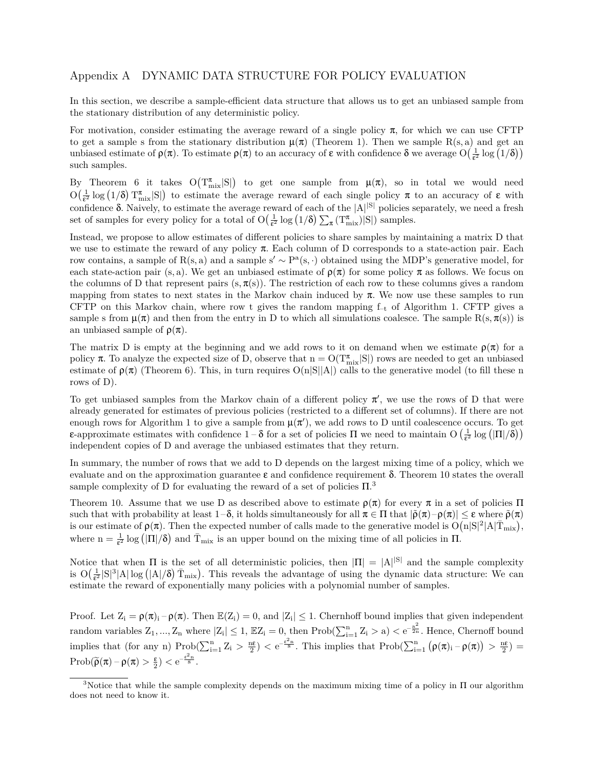# Appendix A DYNAMIC DATA STRUCTURE FOR POLICY EVALUATION

In this section, we describe a sample-efficient data structure that allows us to get an unbiased sample from the stationary distribution of any deterministic policy.

For motivation, consider estimating the average reward of a single policy  $\pi$ , for which we can use CFTP to get a sample s from the stationary distribution  $\mu(\pi)$  (Theorem 1). Then we sample R(s, a) and get an unbiased estimate of  $\rho(\pi)$ . To estimate  $\rho(\pi)$  to an accuracy of  $\varepsilon$  with confidence  $\delta$  we average  $O(\frac{1}{\varepsilon^2} \log(1/\delta))$ such samples.

By Theorem 6 it takes  $O(T_{mix}^{\pi}|S|)$  to get one sample from  $\mu(\pi)$ , so in total we would need  $O(\frac{1}{\epsilon^2} \log (1/\delta) T_{\text{mix}}^{\pi} |S|)$  to estimate the average reward of each single policy  $\pi$  to an accuracy of  $\varepsilon$  with confidence δ. Naively, to estimate the average reward of each of the *|*A*| <sup>|</sup>*S*<sup>|</sup>* policies separately, we need a fresh set of samples for every policy for a total of  $O(\frac{1}{\epsilon^2} \log (1/\delta) \sum_{\pi} (T_{mix}^{\pi}) |S|)$  samples.

Instead, we propose to allow estimates of different policies to share samples by maintaining a matrix D that we use to estimate the reward of any policy π. Each column of D corresponds to a state-action pair. Each row contains, a sample of  $R(s, a)$  and a sample s'  $\sim P^{a}(s, \cdot)$  obtained using the MDP's generative model, for each state-action pair (s, a). We get an unbiased estimate of  $\rho(\pi)$  for some policy  $\pi$  as follows. We focus on the columns of D that represent pairs (s,  $\pi(s)$ ). The restriction of each row to these columns gives a random mapping from states to next states in the Markov chain induced by  $\pi$ . We now use these samples to run CFTP on this Markov chain, where row t gives the random mapping  $f_{-t}$  of Algorithm 1. CFTP gives a sample s from  $\mu(\pi)$  and then from the entry in D to which all simulations coalesce. The sample  $R(s, \pi(s))$  is an unbiased sample of  $\rho(\pi)$ .

The matrix D is empty at the beginning and we add rows to it on demand when we estimate  $\rho(\pi)$  for a policy  $\pi$ . To analyze the expected size of D, observe that  $n = O(T^{\pi}_{mix}|S|)$  rows are needed to get an unbiased estimate of  $\rho(\pi)$  (Theorem 6). This, in turn requires  $O(n|S||A|)$  calls to the generative model (to fill these n rows of D).

To get unbiased samples from the Markov chain of a different policy π *′* , we use the rows of D that were already generated for estimates of previous policies (restricted to a different set of columns). If there are not enough rows for Algorithm 1 to give a sample from  $\mu(\pi')$ , we add rows to D until coalescence occurs. To get **ε**-approximate estimates with confidence  $1-\delta$  for a set of policies  $\Pi$  we need to maintain  $O\left(\frac{1}{\epsilon^2}\log\left(|\Pi|/\delta\right)\right)$ independent copies of D and average the unbiased estimates that they return.

In summary, the number of rows that we add to D depends on the largest mixing time of a policy, which we evaluate and on the approximation guarantee  $\varepsilon$  and confidence requirement  $\delta$ . Theorem 10 states the overall sample complexity of D for evaluating the reward of a set of policies  $\Pi$ .<sup>3</sup>

Theorem 10. Assume that we use D as described above to estimate  $\rho(\pi)$  for every  $\pi$  in a set of policies  $\Pi$ such that with probability at least  $1-\delta$ , it holds simultaneously for all  $\pi \in \Pi$  that  $|\tilde{\rho}(\pi) - \rho(\pi)| \leq \varepsilon$  where  $\tilde{\rho}(\pi)$ is our estimate of  $\rho(\pi)$ . Then the expected number of calls made to the generative model is  $O(n|S|^2|A|\overline{T}_{mix}),$ where  $n = \frac{1}{\epsilon^2} \log (|\Pi|/\delta)$  and  $\overline{T}_{\text{mix}}$  is an upper bound on the mixing time of all policies in  $\Pi$ .

Notice that when  $\Pi$  is the set of all deterministic policies, then  $|\Pi| = |A|^{|S|}$  and the sample complexity is  $O(\frac{1}{\epsilon^2}|S|^3|A|\log (|A|/\delta) \bar{T}_{\text{mix}})$ . This reveals the advantage of using the dynamic data structure: We can estimate the reward of exponentially many policies with a polynomial number of samples.

Proof. Let  $Z_i = \rho(\pi)_i - \rho(\pi)$ . Then  $\mathbb{E}(Z_i) = 0$ , and  $|Z_i| \leq 1$ . Chernhoff bound implies that given independent random variables  $Z_1, ..., Z_n$  where  $|Z_i| \leq 1$ ,  $\mathbb{E}Z_i = 0$ , then  $Prob(\sum_{i=1}^n Z_i > a) < e^{-\frac{a^2}{2n}}$ . Hence, Chernoff bound implies that  $(\text{for any n}) \text{Prob}(\sum_{i=1}^n Z_i > \frac{n\varepsilon}{2}) < e^{-\frac{\varepsilon^2 n}{8}}$ . This implies that  $\text{Prob}(\sum_{i=1}^n (\rho(\pi)_i - \rho(\pi)) > \frac{n\varepsilon}{2}) =$ Prob( $\widetilde{\rho}(\pi) - \rho(\pi) > \frac{\varepsilon}{2}$ )  $\lt e^{-\frac{\varepsilon^2 n}{8}}$ .

<sup>&</sup>lt;sup>3</sup>Notice that while the sample complexity depends on the maximum mixing time of a policy in  $\Pi$  our algorithm does not need to know it.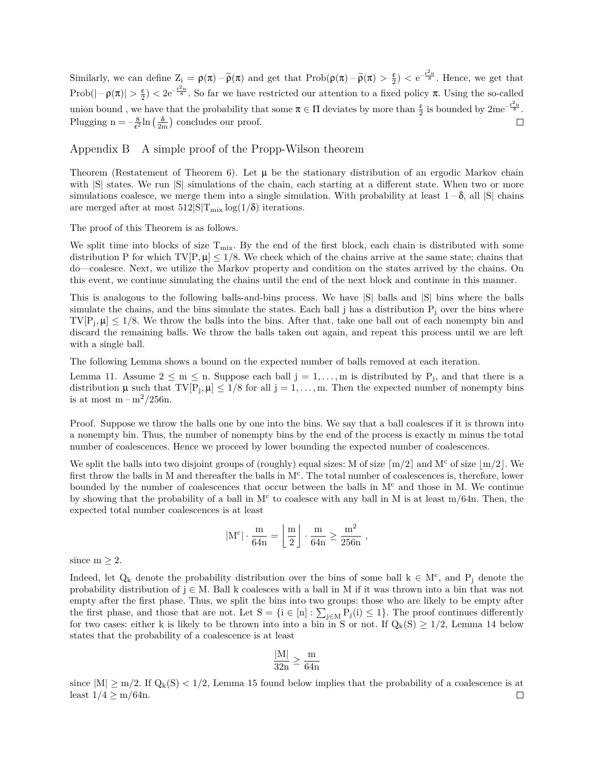Similarly, we can define  $Z_i = \rho(\pi) - \tilde{\rho}(\pi)$  and get that  $\text{Prob}(\rho(\pi) - \tilde{\rho}(\pi) > \frac{\epsilon}{2}) < e^{-\frac{\epsilon^2 n}{8}}$ . Hence, we get that Prob( $|-\rho(\pi)| > \frac{\varepsilon}{2}$ )  $< 2e^{-\frac{\varepsilon^2 n}{8}}$ . So far we have restricted our attention to a fixed policy  $\pi$ . Using the so-called union bound, we have that the probability that some  $\pi \in \Pi$  deviates by more than  $\frac{\epsilon}{2}$  is bounded by  $2me^{-\frac{\epsilon^2 n}{8}}$ . Plugging  $n = -\frac{8}{\epsilon^2} \ln\left(\frac{\delta}{2m}\right)$  concludes our proof.  $\Box$ 

Appendix B A simple proof of the Propp-Wilson theorem

Theorem (Restatement of Theorem 6). Let  $\mu$  be the stationary distribution of an ergodic Markov chain with  $|S|$  states. We run  $|S|$  simulations of the chain, each starting at a different state. When two or more simulations coalesce, we merge them into a single simulation. With probability at least  $1-\delta$ , all  $|S|$  chains are merged after at most  $512|S|T_{mix}\log(1/\delta)$  iterations.

The proof of this Theorem is as follows.

We split time into blocks of size  $T_{mix}$ . By the end of the first block, each chain is distributed with some distribution P for which  $TV[P, \mu] \leq 1/8$ . We check which of the chains arrive at the same state; chains that do—coalesce. Next, we utilize the Markov property and condition on the states arrived by the chains. On this event, we continue simulating the chains until the end of the next block and continue in this manner.

This is analogous to the following balls-and-bins process. We have |S| balls and |S| bins where the balls simulate the chains, and the bins simulate the states. Each ball  $j$  has a distribution  $P_i$  over the bins where  $TV[P_j, \mu] \leq 1/8$ . We throw the balls into the bins. After that, take one ball out of each nonempty bin and discard the remaining balls. We throw the balls taken out again, and repeat this process until we are left with a single ball.

The following Lemma shows a bound on the expected number of balls removed at each iteration.

Lemma 11. Assume  $2 \leq m \leq n$ . Suppose each ball  $j = 1, \ldots, m$  is distributed by  $P_j$ , and that there is a distribution  $\mu$  such that  $TV[P_j, \mu] \leq 1/8$  for all  $j = 1, ..., m$ . Then the expected number of nonempty bins is at most  $m - m^2/256n$ .

Proof. Suppose we throw the balls one by one into the bins. We say that a ball coalesces if it is thrown into a nonempty bin. Thus, the number of nonempty bins by the end of the process is exactly m minus the total number of coalescences. Hence we proceed by lower bounding the expected number of coalescences.

We split the balls into two disjoint groups of (roughly) equal sizes: M of size  $\lceil m/2 \rceil$  and M<sup>c</sup> of size  $\lfloor m/2 \rfloor$ . We first throw the balls in M and thereafter the balls in M<sup>c</sup>. The total number of coalescences is, therefore, lower bounded by the number of coalescences that occur between the balls in  $M<sup>c</sup>$  and those in M. We continue by showing that the probability of a ball in  $M<sup>c</sup>$  to coalesce with any ball in M is at least m/64n. Then, the expected total number coalescences is at least

$$
|M^c|\cdot \frac{m}{64n}=\left\lfloor\frac{m}{2}\right\rfloor\cdot \frac{m}{64n}\geq \frac{m^2}{256n}\ ,
$$

since  $m \geq 2$ .

Indeed, let  $Q_k$  denote the probability distribution over the bins of some ball  $k \in M^c$ , and  $P_j$  denote the probability distribution of j *∈* M. Ball k coalesces with a ball in M if it was thrown into a bin that was not empty after the first phase. Thus, we split the bins into two groups: those who are likely to be empty after the first phase, and those that are not. Let  $S = \{i \in [n] : \sum_{j \in M} P_j(i) \leq 1\}$ . The proof continues differently for two cases: either k is likely to be thrown into into a bin in S or not. If  $Q_k(S) \geq 1/2$ , Lemma 14 below states that the probability of a coalescence is at least

$$
\frac{|M|}{32n} \geq \frac{m}{64n}
$$

since  $|M| \ge m/2$ . If  $Q_k(S) < 1/2$ , Lemma 15 found below implies that the probability of a coalescence is at least  $1/4 > m/64$ n. least  $1/4$  ≥ m/64n.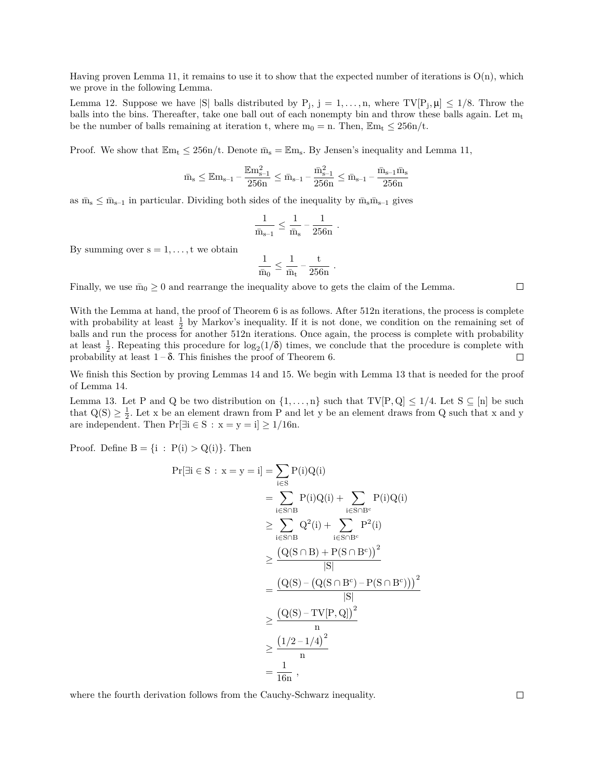Having proven Lemma 11, it remains to use it to show that the expected number of iterations is  $O(n)$ , which we prove in the following Lemma.

Lemma 12. Suppose we have  $|S|$  balls distributed by  $P_j$ ,  $j = 1, \ldots, n$ , where  $TV[P_j, \mu] \leq 1/8$ . Throw the balls into the bins. Thereafter, take one ball out of each nonempty bin and throw these balls again. Let  $m_t$ be the number of balls remaining at iteration t, where  $m_0 = n$ . Then,  $\mathbb{E}m_t \leq 256n/t$ .

Proof. We show that  $\mathbb{E}_{m_t} \leq 256n/t$ . Denote  $\bar{m}_s = \mathbb{E}_{m_s}$ . By Jensen's inequality and Lemma 11,

$$
\bar{m}_{s} \leq \mathbb{E}{m}_{s-1} - \frac{\mathbb{E}{m}^{2}_{s-1}}{256n} \leq \bar{m}_{s-1} - \frac{\bar{m}^{2}_{s-1}}{256n} \leq \bar{m}_{s-1} - \frac{\bar{m}_{s-1}\bar{m}_{s}}{256n}
$$

as  $\bar{m}_s \leq \bar{m}_{s-1}$  in particular. Dividing both sides of the inequality by  $\bar{m}_s \bar{m}_{s-1}$  gives

$$
\frac{1}{\bar{m}_{s-1}} \leq \frac{1}{\bar{m}_{s}} - \frac{1}{256n} \ .
$$

By summing over  $s = 1, \ldots, t$  we obtain

$$
\frac{1}{\bar{m}_0} \leq \frac{1}{\bar{m}_t} - \frac{t}{256n}
$$

.

Finally, we use  $\bar{m}_0 \geq 0$  and rearrange the inequality above to gets the claim of the Lemma.

With the Lemma at hand, the proof of Theorem 6 is as follows. After 512n iterations, the process is complete with probability at least  $\frac{1}{2}$  by Markov's inequality. If it is not done, we condition on the remaining set of balls and run the process for another 512n iterations. Once again, the process is complete with probability at least  $\frac{1}{2}$ . Repeating this procedure for  $\log_2(1/\delta)$  times, we conclude that the procedure is complete with probability at least  $1-\delta$ . This finishes the proof of Theorem 6.  $\Box$ 

We finish this Section by proving Lemmas 14 and 15. We begin with Lemma 13 that is needed for the proof of Lemma 14.

Lemma 13. Let P and Q be two distribution on  $\{1,\ldots,n\}$  such that  $TV[P,Q] \leq 1/4$ . Let  $S \subseteq [n]$  be such that  $Q(S) \geq \frac{1}{2}$ . Let x be an element drawn from P and let y be an element draws from Q such that x and y are independent. Then  $Pr[\exists i \in S : x = y = i] \ge 1/16n$ .

Proof. Define  $B = \{i : P(i) > Q(i)\}\$ . Then

$$
\begin{aligned} \Pr[\exists i \in S: x = y = i] &= \sum_{i \in S} P(i)Q(i) \\ &= \sum_{i \in S \cap B} P(i)Q(i) + \sum_{i \in S \cap B^c} P(i)Q(i) \\ &\geq \sum_{i \in S \cap B} Q^2(i) + \sum_{i \in S \cap B^c} P^2(i) \\ &\geq \frac{\left(Q(S \cap B) + P(S \cap B^c)\right)^2}{|S|} \\ &= \frac{\left(Q(S) - \left(Q(S \cap B^c) - P(S \cap B^c)\right)\right)^2}{|S|} \\ &\geq \frac{\left(Q(S) - \text{TV}[P, Q]\right)^2}{n} \\ &\geq \frac{\left(1/2 - 1/4\right)^2}{n} \\ &= \frac{1}{16n} \ , \end{aligned}
$$

where the fourth derivation follows from the Cauchy-Schwarz inequality.

 $\Box$ 

$$
\Box
$$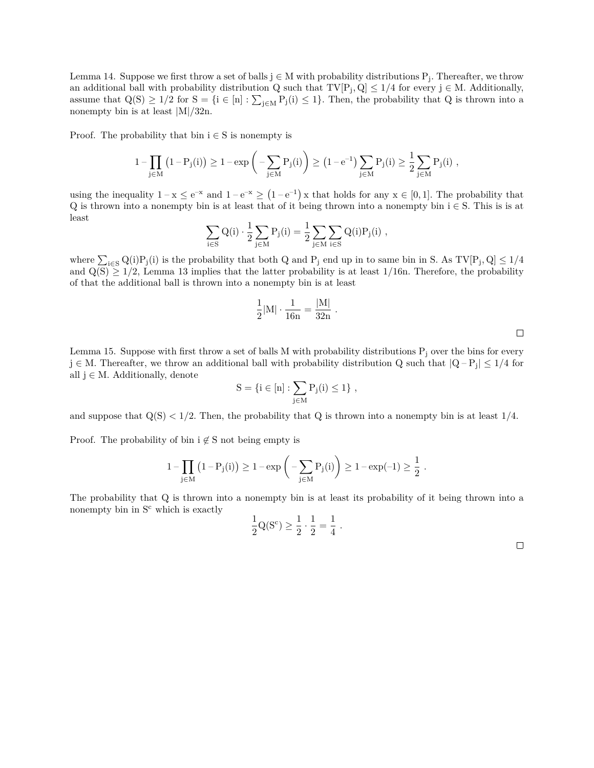Lemma 14. Suppose we first throw a set of balls  $j \in M$  with probability distributions  $P_j$ . Thereafter, we throw an additional ball with probability distribution  $Q$  such that  $TV[P_j, Q] \leq 1/4$  for every  $j \in M$ . Additionally, assume that  $Q(S) \ge 1/2$  for  $S = \{i \in [n] : \sum_{j \in M} P_j(i) \le 1\}$ . Then, the probability that Q is thrown into a nonempty bin is at least *|*M*|*/32n.

Proof. The probability that bin  $i \in S$  is nonempty is

$$
1 - \prod_{j \in M} \left(1 - P_j(i)\right) \geq 1 - \exp\bigg(- \sum_{j \in M} P_j(i)\bigg) \geq \big(1 - e^{-1}\big) \sum_{j \in M} P_j(i) \geq \frac{1}{2} \sum_{j \in M} P_j(i) \ ,
$$

using the inequality  $1 - x \le e^{-x}$  and  $1 - e^{-x} \ge (1 - e^{-1}) x$  that holds for any  $x \in [0, 1]$ . The probability that Q is thrown into a nonempty bin is at least that of it being thrown into a nonempty bin i *∈* S. This is is at least

$$
\sum_{i\in S} Q(i)\cdot \frac{1}{2}\sum_{j\in M} P_j(i) = \frac{1}{2}\sum_{j\in M}\sum_{i\in S} Q(i)P_j(i)\ ,
$$

where  $\sum_{i \in S} Q(i)P_j(i)$  is the probability that both Q and P<sub>j</sub> end up in to same bin in S. As  $TV[P_j, Q] \le 1/4$ and  $Q(S) \geq 1/2$ , Lemma 13 implies that the latter probability is at least 1/16n. Therefore, the probability of that the additional ball is thrown into a nonempty bin is at least

$$
\frac{1}{2}|M| \cdot \frac{1}{16n} = \frac{|M|}{32n} .
$$

 $\Box$ 

Lemma 15. Suppose with first throw a set of balls M with probability distributions  $P_i$  over the bins for every j *∈* M. Thereafter, we throw an additional ball with probability distribution Q such that *|*Q – P<sup>j</sup> *| ≤* 1/4 for all j *∈* M. Additionally, denote

$$
S=\{i\in [n]:\sum_{j\in M}P_j(i)\leq 1\}\ ,
$$

and suppose that  $Q(S) < 1/2$ . Then, the probability that Q is thrown into a nonempty bin is at least  $1/4$ .

Proof. The probability of bin i *̸∈* S not being empty is

$$
1-\prod_{j\in M}\left(1-P_j(i)\right)\geq 1-\exp\left(-\sum_{j\in M}P_j(i)\right)\geq 1-\exp(-1)\geq \frac{1}{2}\ .
$$

The probability that Q is thrown into a nonempty bin is at least its probability of it being thrown into a nonempty bin in  $S<sup>c</sup>$  which is exactly

$$
\frac{1}{2}Q(S^{c}) \ge \frac{1}{2} \cdot \frac{1}{2} = \frac{1}{4} .
$$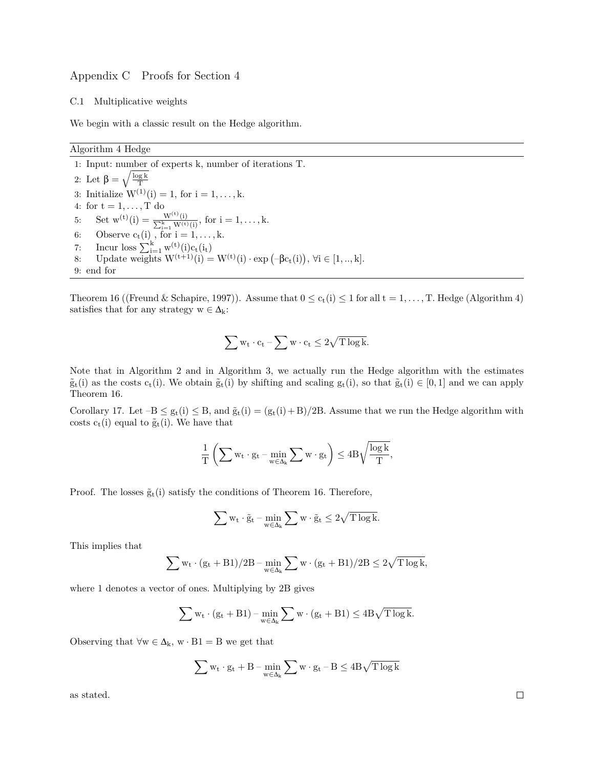## Appendix C Proofs for Section 4

### C.1 Multiplicative weights

We begin with a classic result on the Hedge algorithm.

## Algorithm 4 Hedge

1: Input: number of experts k, number of iterations T. 2: Let  $\beta = \sqrt{\frac{\log k}{T}}$ 3: Initialize  $W^{(1)}(i) = 1$ , for  $i = 1, ..., k$ . 4: for  $t = 1, \ldots, T$  do 5: Set  $w^{(t)}(i) = \frac{W^{(t)}}{\sum_{i=1}^{k} W_{i}}$  $\frac{W^{(t)}(i)}{k}$  for  $i = 1, ..., k$ . 6: Observe  $c_t(i)$ , for  $i = 1, ..., k$ . 7: Incur loss  $\sum_{i=1}^{k} w^{(t)}(i)c_t(i_t)$ 8: Update weights  $W^{(t+1)}(i) = W^{(t)}(i) \cdot \exp(-\beta c_t(i)), \forall i \in [1, ..., k].$ 9: end for

Theorem 16 ((Freund & Schapire, 1997)). Assume that  $0 \leq c_t(i) \leq 1$  for all  $t = 1, ..., T$ . Hedge (Algorithm 4) satisfies that for any strategy  $w \in \Delta_k$ :

$$
\sum w_t \cdot c_t - \sum w \cdot c_t \leq 2\sqrt{T \log k}.
$$

Note that in Algorithm 2 and in Algorithm 3, we actually run the Hedge algorithm with the estimates  $\tilde{g}_t(i)$  as the costs  $c_t(i)$ . We obtain  $\tilde{g}_t(i)$  by shifting and scaling  $g_t(i)$ , so that  $\tilde{g}_t(i) \in [0,1]$  and we can apply Theorem 16.

Corollary 17. Let  $-B \leq g_t(i) \leq B$ , and  $\tilde{g}_t(i) = (g_t(i) + B)/2B$ . Assume that we run the Hedge algorithm with costs  $c_t(i)$  equal to  $\tilde{g}_t(i)$ . We have that

$$
\frac{1}{T}\left(\sum w_t\cdot g_t-\min_{w\in\Delta_k}\sum w\cdot g_t\right)\leq 4B\sqrt{\frac{\log k}{T}},
$$

Proof. The losses  $\tilde{g}_t(i)$  satisfy the conditions of Theorem 16. Therefore,

$$
\sum w_t \cdot \tilde{g}_t - \min_{w \in \Delta_k} \sum w \cdot \tilde{g}_t \leq 2\sqrt{T \log k}.
$$

This implies that

$$
\sum w_t \cdot (g_t + B1)/2B - \min_{w \in \Delta_k} \sum w \cdot (g_t + B1)/2B \leq 2\sqrt{T \log k},
$$

where 1 denotes a vector of ones. Multiplying by 2B gives

$$
\sum w_t \cdot (g_t + B1) - \min_{w \in \Delta_k} \sum w \cdot (g_t + B1) \leq 4B\sqrt{T \log k}.
$$

Observing that  $\forall w \in \Delta_k$ ,  $w \cdot B1 = B$  we get that

$$
\sum w_t \cdot g_t + B - \min_{w \in \Delta_k} \sum w \cdot g_t - B \leq 4 B \sqrt{T \log k}
$$

as stated.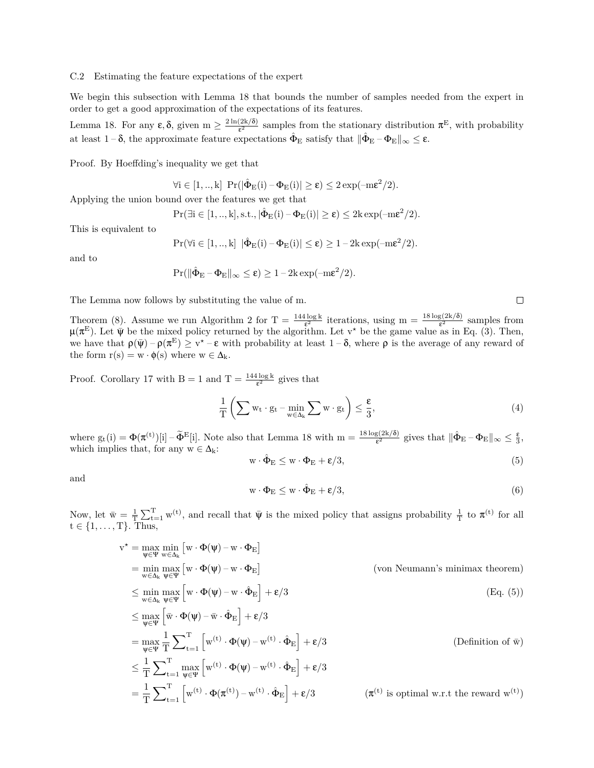### C.2 Estimating the feature expectations of the expert

We begin this subsection with Lemma 18 that bounds the number of samples needed from the expert in order to get a good approximation of the expectations of its features.

Lemma 18. For any  $\varepsilon$ ,  $\delta$ , given  $m \geq \frac{2 \ln(2k/\delta)}{\varepsilon^2}$  $\frac{(2k/\delta)}{\epsilon^2}$  samples from the stationary distribution  $\pi^E$ , with probability at least  $1-\delta$ , the approximate feature expectations  $\hat{\Phi}_{E}$  satisfy that  $\|\hat{\Phi}_{E} - \Phi_{E}\|_{\infty} \leq \epsilon$ .

Proof. By Hoeffding's inequality we get that

$$
\forall i \in [1,..,k] \ \Pr(|\hat{\Phi}_E(i) - \Phi_E(i)| \geq \epsilon) \leq 2\exp(-m\epsilon^2/2).
$$

Applying the union bound over the features we get that

$$
\Pr(\exists i \in [1,..,k], s.t., |\hat{\Phi}_E(i) - \Phi_E(i)| \geq \epsilon) \leq 2k \exp(-m\epsilon^2/2).
$$

This is equivalent to

$$
\Pr(\forall i \in [1,..,k] \ |\hat{\Phi}_E(i) - \Phi_E(i)| \leq \epsilon) \geq 1 - 2k \exp(-m\epsilon^2/2).
$$

and to

$$
\Pr(\|\hat{\Phi}_{E} - \Phi_{E}\|_{\infty} \leq \epsilon) \geq 1 - 2k \exp(-m\epsilon^{2}/2).
$$

The Lemma now follows by substituting the value of m.

Theorem (8). Assume we run Algorithm 2 for  $T = \frac{144 \log k}{\epsilon^2}$  iterations, using  $m = \frac{18 \log(2k/\delta)}{\epsilon^2}$  samples from  $\mu(\pi^E)$ . Let  $\bar{\psi}$  be the mixed policy returned by the algorithm. Let v<sup>\*</sup> be the game value as in Eq. (3). Then, we have that  $\rho(\bar{\psi}) - \rho(\pi^E) \geq v^* - \varepsilon$  with probability at least  $1-\delta$ , where  $\rho$  is the average of any reward of the form  $r(s) = w \cdot \phi(s)$  where  $w \in \Delta_k$ .

Proof. Corollary 17 with  $B = 1$  and  $T = \frac{144 \log k}{\epsilon^2}$  gives that

$$
\frac{1}{T} \left( \sum w_t \cdot g_t - \min_{w \in \Delta_k} \sum w \cdot g_t \right) \le \frac{\varepsilon}{3},\tag{4}
$$

where  $g_t(i) = \Phi(\pi^{(t)})[i] - \tilde{\Phi}^{E}[i]$ . Note also that Lemma 18 with  $m = \frac{18 \log(2k/\delta)}{\epsilon^2}$  gives that  $\|\hat{\Phi}_{E} - \Phi_{E}\|_{\infty} \leq \frac{\epsilon}{3}$ , which implies that, for any  $w \in \Delta_k$ :

$$
\mathbf{w} \cdot \hat{\Phi}_{\mathbf{E}} \le \mathbf{w} \cdot \Phi_{\mathbf{E}} + \varepsilon/3, \tag{5}
$$

and

$$
\mathbf{w} \cdot \mathbf{\Phi}_{\mathbf{E}} \le \mathbf{w} \cdot \hat{\mathbf{\Phi}}_{\mathbf{E}} + \mathbf{\varepsilon}/3,\tag{6}
$$

Now, let  $\bar{w} = \frac{1}{T} \sum_{t=1}^{T} w^{(t)}$ , and recall that  $\bar{\psi}$  is the mixed policy that assigns probability  $\frac{1}{T}$  to  $\pi^{(t)}$  for all t *∈* {1, *. . .* , T}. Thus,

$$
v^* = \max_{\psi \in \Psi} \min_{w \in \Delta_k} [w \cdot \Phi(\psi) - w \cdot \Phi_E]
$$
  
\n
$$
= \min_{w \in \Delta_k} \max_{\psi \in \Psi} [w \cdot \Phi(\psi) - w \cdot \Phi_E]
$$
  
\n
$$
\leq \min_{w \in \Delta_k} \max_{\psi \in \Psi} [w \cdot \Phi(\psi) - w \cdot \hat{\Phi}_E] + \varepsilon/3
$$
  
\n
$$
\leq \max_{\psi \in \Psi} [\bar{w} \cdot \Phi(\psi) - \bar{w} \cdot \hat{\Phi}_E] + \varepsilon/3
$$
  
\n
$$
= \max_{\psi \in \Psi} \frac{1}{T} \sum_{t=1}^T \sum_{\psi \in \Psi} [w^{(t)} \cdot \Phi(\psi) - w^{(t)} \cdot \hat{\Phi}_E] + \varepsilon/3
$$
  
\n
$$
\leq \frac{1}{T} \sum_{t=1}^T \max_{\psi \in \Psi} [w^{(t)} \cdot \Phi(\psi) - w^{(t)} \cdot \hat{\Phi}_E] + \varepsilon/3
$$
  
\n
$$
= \frac{1}{T} \sum_{t=1}^T \left[ w^{(t)} \cdot \Phi(\pi^{(t)}) - w^{(t)} \cdot \hat{\Phi}_E \right] + \varepsilon/3
$$
  
\n
$$
( \pi^{(t)} \text{ is optimal w.r.t the reward } w^{(t)} )
$$

 $\Box$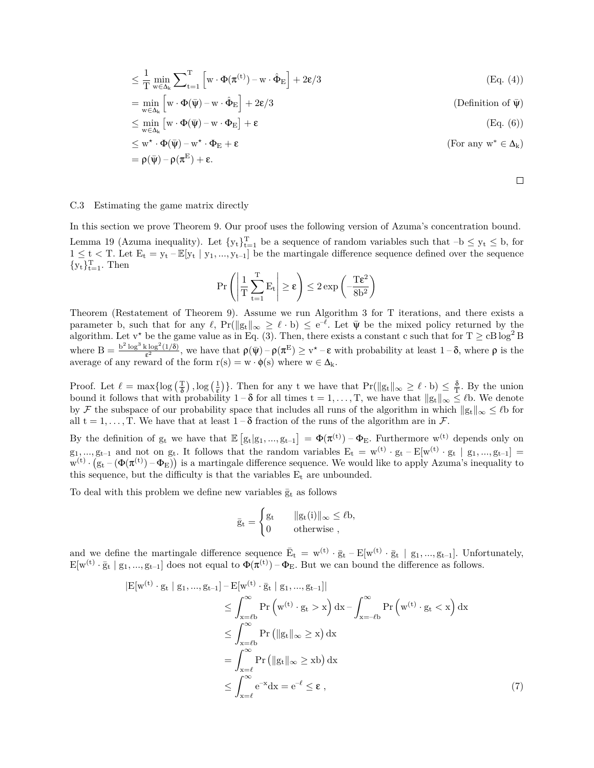$$
\leq \frac{1}{T}\min_{w\in\Delta_k}\sum\nolimits_{t=1}^T\left[w\cdot\Phi(\pi^{(t)})-w\cdot\hat{\Phi}_E\right]+2\epsilon/3 \tag{Eq. (4)}
$$

$$
= \min_{w \in \Delta_k} \left[ w \cdot \Phi(\bar{\psi}) - w \cdot \hat{\Phi}_E \right] + 2\varepsilon/3
$$
 (Definition of  $\bar{\psi}$ )

$$
\leq \min_{w \in \Delta_k} \left[ w \cdot \Phi(\bar{\psi}) - w \cdot \Phi_E \right] + \epsilon \tag{Eq. (6)}
$$

$$
\leq \mathbf{w}^* \cdot \Phi(\bar{\psi}) - \mathbf{w}^* \cdot \Phi_{\mathbf{E}} + \varepsilon
$$
  
=  $\rho(\bar{\psi}) - \rho(\pi^{\mathbf{E}}) + \varepsilon$ . (For any  $\mathbf{w}^* \in \Delta_k$ )

 $\Box$ 

#### C.3 Estimating the game matrix directly

In this section we prove Theorem 9. Our proof uses the following version of Azuma's concentration bound. Lemma 19 (Azuma inequality). Let  $\{y_t\}_{t=1}^T$  be a sequence of random variables such that  $-b \le y_t \le b$ , for  $1 \leq t < T$ . Let  $E_t = y_t - \mathbb{E}[y_t | y_1, ..., y_{t-1}]$  be the martingale difference sequence defined over the sequence  ${y_t}_{t=1}^T$ . Then

$$
\Pr \left( \left| \frac{1}{T} \sum_{t=1}^T E_t \right| \geq \epsilon \right) \leq 2 \exp \left( - \frac{T \epsilon^2}{8 b^2} \right)
$$

Theorem (Restatement of Theorem 9). Assume we run Algorithm 3 for T iterations, and there exists a parameter b, such that for any  $\ell$ ,  $Pr(\|g_t\|_{\infty} \geq \ell \cdot b) \leq e^{-\ell}$ . Let  $\bar{\psi}$  be the mixed policy returned by the algorithm. Let v<sup>*★*</sup> be the game value as in Eq. (3). Then, there exists a constant c such that for  $T \geq cB \log^2 B$ where  $B = \frac{b^2 \log^3 k \log^2(1/\delta)}{s^2}$  $\frac{\epsilon \log^2(1/\delta)}{\epsilon^2}$ , we have that  $\rho(\bar{\psi}) - \rho(\pi^E) \geq v^* - \epsilon$  with probability at least  $1-\delta$ , where  $\rho$  is the average of any reward of the form  $r(s) = w \cdot \phi(s)$  where  $w \in \Delta_k$ .

Proof. Let  $\ell = \max\{\log\left(\frac{T}{\delta}\right), \log\left(\frac{1}{\epsilon}\right)\}\)$ . Then for any t we have that  $Pr(\|g_t\|_{\infty} \geq \ell \cdot b) \leq \frac{\delta}{T}$ . By the union bound it follows that with probability  $1 - \delta$  for all times  $t = 1, \ldots, T$ , we have that  $||g_t||_{\infty} \leq \ell$ b. We denote by *F* the subspace of our probability space that includes all runs of the algorithm in which  $||g_t||_{\infty} \leq \ell$ b for all  $t = 1, \ldots, T$ . We have that at least  $1 - \delta$  fraction of the runs of the algorithm are in  $\mathcal{F}$ .

By the definition of  $g_t$  we have that  $\mathbb{E}\left[g_t|g_1,\ldots,g_{t-1}\right] = \Phi(\pi^{(t)}) - \Phi_E$ . Furthermore  $w^{(t)}$  depends only on  $g_1, ..., g_{t-1}$  and not on  $g_t$ . It follows that the random variables  $E_t = w^{(t)} \cdot g_t - E[w^{(t)} \cdot g_t | g_1, ..., g_{t-1}] =$  $w^{(t)} \cdot (g_t - (\Phi(\pi^{(t)}) - \Phi_E))$  is a martingale difference sequence. We would like to apply Azuma's inequality to this sequence, but the difficulty is that the variables  $E_t$  are unbounded.

To deal with this problem we define new variables  $\bar{g}_t$  as follows

$$
\bar{g}_t = \begin{cases} g_t & \|g_t(i)\|_\infty \leq \ell b, \\ 0 & \text{otherwise} , \end{cases}
$$

and we define the martingale difference sequence  $\bar{E}_t = w^{(t)} \cdot \bar{g}_t - E[w^{(t)} \cdot \bar{g}_t \mid g_1, ..., g_{t-1}]$ . Unfortunately,  $E[w^{(t)} \cdot \bar{g}_t | g_1, ..., g_{t-1}]$  does not equal to  $\Phi(\pi^{(t)}) - \Phi_E$ . But we can bound the difference as follows.

$$
|E[w^{(t)} \cdot g_t | g_1, ..., g_{t-1}] - E[w^{(t)} \cdot \bar{g}_t | g_1, ..., g_{t-1}]|
$$
  
\n
$$
\leq \int_{x=\ell b}^{\infty} Pr(w^{(t)} \cdot g_t > x) dx - \int_{x=-\ell b}^{\infty} Pr(w^{(t)} \cdot g_t < x) dx
$$
  
\n
$$
\leq \int_{x=\ell b}^{\infty} Pr(|g_t||_{\infty} \geq x) dx
$$
  
\n
$$
= \int_{x=\ell}^{\infty} Pr(|g_t||_{\infty} \geq xb) dx
$$
  
\n
$$
\leq \int_{x=\ell}^{\infty} e^{-x} dx = e^{-\ell} \leq \epsilon , \qquad (7)
$$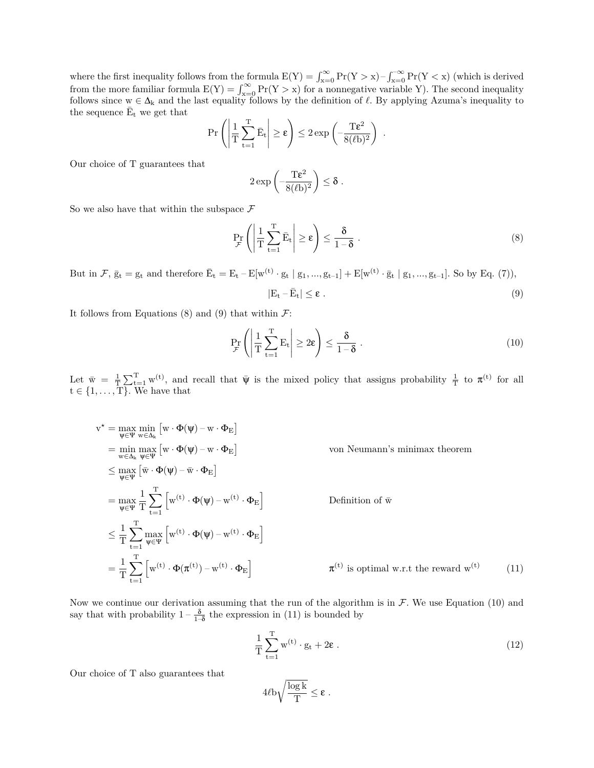where the first inequality follows from the formula  $E(Y) = \int_{x=0}^{\infty} Pr(Y > x) - \int_{x=0}^{-\infty} Pr(Y < x)$  (which is derived from the more familiar formula  $E(Y) = \int_{x=0}^{\infty} Pr(Y > x)$  for a nonnegative variable Y). The second inequality follows since  $w \in \Delta_k$  and the last equality follows by the definition of  $\ell$ . By applying Azuma's inequality to the sequence  $\bar{E}_t$  we get that

$$
\Pr\left(\left|\frac{1}{T}\sum_{t=1}^T \bar{E}_t\right| \ge \epsilon\right) \le 2\exp\left(-\frac{T\epsilon^2}{8(\ell b)^2}\right) \; .
$$

Our choice of T guarantees that

$$
2\exp\left(-\frac{T\epsilon^2}{8(\ell b)^2}\right)\leq \delta\;.
$$

So we also have that within the subspace  $\mathcal F$ 

$$
\Pr_{\mathcal{F}}\left(\left|\frac{1}{T}\sum_{t=1}^{T}\bar{E}_t\right|\geq \varepsilon\right)\leq \frac{\delta}{1-\delta}.
$$
\n(8)

But in *F*,  $\bar{g}_t = g_t$  and therefore  $\bar{E}_t = E_t - E[w^{(t)} \cdot g_t | g_1, ..., g_{t-1}] + E[w^{(t)} \cdot \bar{g}_t | g_1, ..., g_{t-1}]$ . So by Eq. (7)),

$$
|E_t - \bar{E}_t| \le \varepsilon \t\t(9)
$$

It follows from Equations  $(8)$  and  $(9)$  that within  $\mathcal{F}$ :

$$
\Pr_{\mathcal{F}}\left(\left|\frac{1}{T}\sum_{t=1}^{T}E_t\right|\geq 2\epsilon\right)\leq \frac{\delta}{1-\delta}.
$$
\n(10)

Let  $\bar{w} = \frac{1}{T} \sum_{t=1}^{T} w^{(t)}$ , and recall that  $\bar{\psi}$  is the mixed policy that assigns probability  $\frac{1}{T}$  to  $\pi^{(t)}$  for all  $t \in \{1, \ldots, T\}$ . We have that

$$
v^* = \max_{\psi \in \Psi} \min_{w \in \Delta_k} [w \cdot \Phi(\psi) - w \cdot \Phi_E]
$$
  
\n
$$
= \min_{w \in \Delta_k} \max_{\psi \in \Psi} [w \cdot \Phi(\psi) - w \cdot \Phi_E]
$$
  
\n
$$
\leq \max_{\psi \in \Psi} [\bar{w} \cdot \Phi(\psi) - \bar{w} \cdot \Phi_E]
$$
  
\n
$$
= \max_{\psi \in \Psi} \frac{1}{T} \sum_{t=1}^T [w^{(t)} \cdot \Phi(\psi) - w^{(t)} \cdot \Phi_E]
$$
  
\n
$$
\leq \frac{1}{T} \sum_{t=1}^T \max_{\psi \in \Psi} [w^{(t)} \cdot \Phi(\psi) - w^{(t)} \cdot \Phi_E]
$$
  
\n
$$
= \frac{1}{T} \sum_{t=1}^T [w^{(t)} \cdot \Phi(\pi^{(t)}) - w^{(t)} \cdot \Phi_E]
$$
  
\n
$$
= \frac{1}{T} \sum_{t=1}^T [w^{(t)} \cdot \Phi(\pi^{(t)}) - w^{(t)} \cdot \Phi_E]
$$
  
\n
$$
= \pi^{(t)}
$$
 is optimal w.r.t the reward w<sup>(t)</sup> (11)

Now we continue our derivation assuming that the run of the algorithm is in  $\mathcal{F}$ . We use Equation (10) and say that with probability  $1 - \frac{\delta}{1-\delta}$  the expression in (11) is bounded by

$$
\frac{1}{T} \sum_{t=1}^{T} w^{(t)} \cdot g_t + 2\epsilon \tag{12}
$$

Our choice of T also guarantees that

$$
4\ell b \sqrt{\frac{\log k}{T}} \leq \epsilon \; .
$$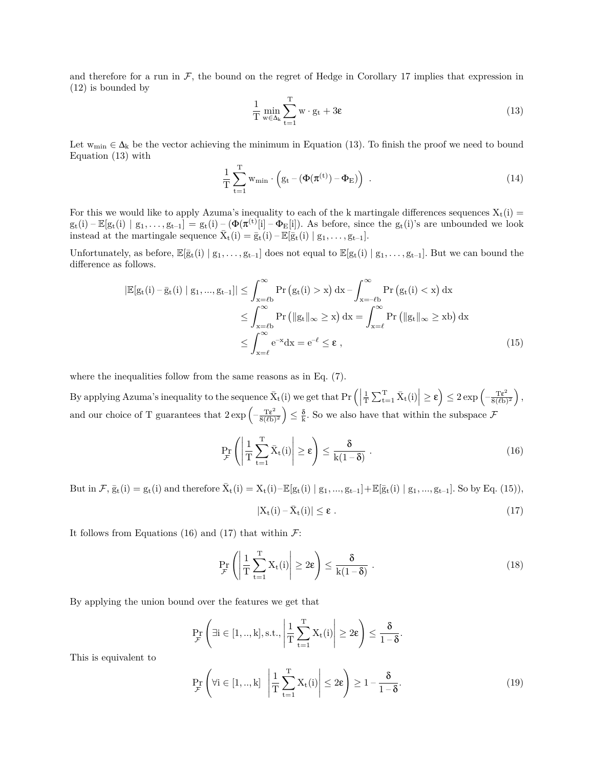and therefore for a run in  $\mathcal{F}$ , the bound on the regret of Hedge in Corollary 17 implies that expression in (12) is bounded by

$$
\frac{1}{T} \min_{w \in \Delta_k} \sum_{t=1}^{T} w \cdot g_t + 3\epsilon \tag{13}
$$

Let  $w_{\min} \in \Delta_k$  be the vector achieving the minimum in Equation (13). To finish the proof we need to bound Equation (13) with

$$
\frac{1}{T} \sum_{t=1}^{T} w_{\min} \cdot \left( g_t - \left( \Phi(\pi^{(t)}) - \Phi_E \right) \right) \tag{14}
$$

For this we would like to apply Azuma's inequality to each of the k martingale differences sequences  $X_t(i)$  =  $g_t(i) - \mathbb{E}[g_t(i) | g_1, \ldots, g_{t-1}] = g_t(i) - (\Phi(\pi^{(t)}[i] - \Phi_E[i]).$  As before, since the  $g_t(i)$ 's are unbounded we look instead at the martingale sequence  $\bar{X}_t(i) = \bar{g}_t(i) - \mathbb{E}[\bar{g}_t(i) | g_1, \ldots, g_{t-1}].$ 

Unfortunately, as before,  $\mathbb{E}[\bar{g}_t(i) | g_1, \ldots, g_{t-1}]$  does not equal to  $\mathbb{E}[g_t(i) | g_1, \ldots, g_{t-1}]$ . But we can bound the difference as follows.

$$
\left| \mathbb{E}[g_t(i) - \bar{g}_t(i) \mid g_1, ..., g_{t-1}] \right| \leq \int_{x=\ell b}^{\infty} \Pr\left(g_t(i) > x\right) dx - \int_{x=-\ell b}^{\infty} \Pr\left(g_t(i) < x\right) dx
$$
  

$$
\leq \int_{x=\ell b}^{\infty} \Pr\left(\|g_t\|_{\infty} \geq x\right) dx = \int_{x=\ell}^{\infty} \Pr\left(\|g_t\|_{\infty} \geq x b\right) dx
$$
  

$$
\leq \int_{x=\ell}^{\infty} e^{-x} dx = e^{-\ell} \leq \varepsilon , \tag{15}
$$

where the inequalities follow from the same reasons as in Eq. (7).

By applying Azuma's inequality to the sequence  $\bar{X}_t(i)$  we get that  $Pr\left(\left|\frac{1}{T}\sum_{t=1}^T \bar{X}_t(i)\right| \geq \varepsilon\right) \leq 2\exp\left(-\frac{T\varepsilon^2}{8(\ell b)}\right)$  $\sqrt{8(\ell b)^2}$  $\big),$ and our choice of T guarantees that  $2 \exp \left(-\frac{\text{Te}^2}{8(\ell) \epsilon}\right)$  $8(\ell b)^2$  $\overline{ }$  $\leq \frac{\delta}{k}$ . So we also have that within the subspace  $\mathcal{F}$ 

$$
\Pr_{\mathcal{F}}\left(\left|\frac{1}{T}\sum_{t=1}^{T}\bar{X}_{t}(i)\right|\geq \epsilon\right)\leq \frac{\delta}{k(1-\delta)}\ .
$$
\n(16)

But in *F*,  $\bar{g}_t(i) = g_t(i)$  and therefore  $\bar{X}_t(i) = X_t(i) - \mathbb{E}[g_t(i) | g_1, ..., g_{t-1}] + \mathbb{E}[\bar{g}_t(i) | g_1, ..., g_{t-1}]$ . So by Eq. (15)),

$$
|X_t(i) - \bar{X}_t(i)| \le \varepsilon \t\t(17)
$$

It follows from Equations (16) and (17) that within  $\mathcal{F}$ :

$$
\Pr_{\mathcal{F}}\left(\left|\frac{1}{T}\sum_{t=1}^{T}X_{t}(i)\right|\geq 2\epsilon\right)\leq \frac{\delta}{k(1-\delta)}\ .
$$
\n(18)

By applying the union bound over the features we get that

$$
\Pr_{\mathcal{F}}\left(\exists i \in [1,..,k], s.t., \left|\frac{1}{T}\sum_{t=1}^T X_t(i)\right| \geq 2\epsilon\right) \leq \frac{\delta}{1-\delta}.
$$

This is equivalent to

$$
\Pr_{\mathcal{F}}\left(\forall i \in [1,..,k] \middle| \frac{1}{T} \sum_{t=1}^{T} X_t(i) \middle| \le 2\epsilon\right) \ge 1 - \frac{\delta}{1-\delta}.\tag{19}
$$